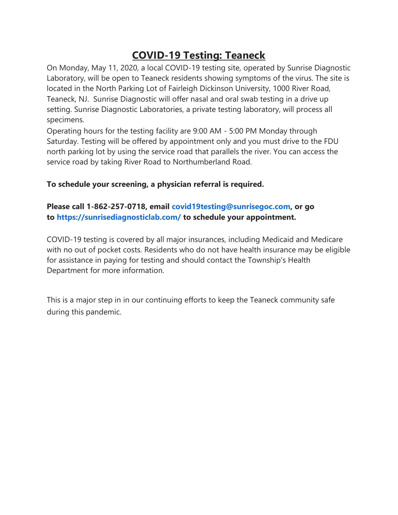## **COVID-19 Testing: Teaneck**

On Monday, May 11, 2020, a local COVID-19 testing site, operated by Sunrise Diagnostic Laboratory, will be open to Teaneck residents showing symptoms of the virus. The site is located in the North Parking Lot of Fairleigh Dickinson University, 1000 River Road, Teaneck, NJ. Sunrise Diagnostic will offer nasal and oral swab testing in a drive up setting. Sunrise Diagnostic Laboratories, a private testing laboratory, will process all specimens.

Operating hours for the testing facility are 9:00 AM - 5:00 PM Monday through Saturday. Testing will be offered by appointment only and you must drive to the FDU north parking lot by using the service road that parallels the river. You can access the service road by taking River Road to Northumberland Road.

## **To schedule your screening, a physician referral is required.**

## **Please call 1-862-257-0718, email [covid19testing@sunrisegoc.com,](mailto:covid19testing@sunrisegoc.com) or go to <https://sunrisediagnosticlab.com/> to schedule your appointment.**

COVID-19 testing is covered by all major insurances, including Medicaid and Medicare with no out of pocket costs. Residents who do not have health insurance may be eligible for assistance in paying for testing and should contact the Township's Health Department for more information.

This is a major step in in our continuing efforts to keep the Teaneck community safe during this pandemic.